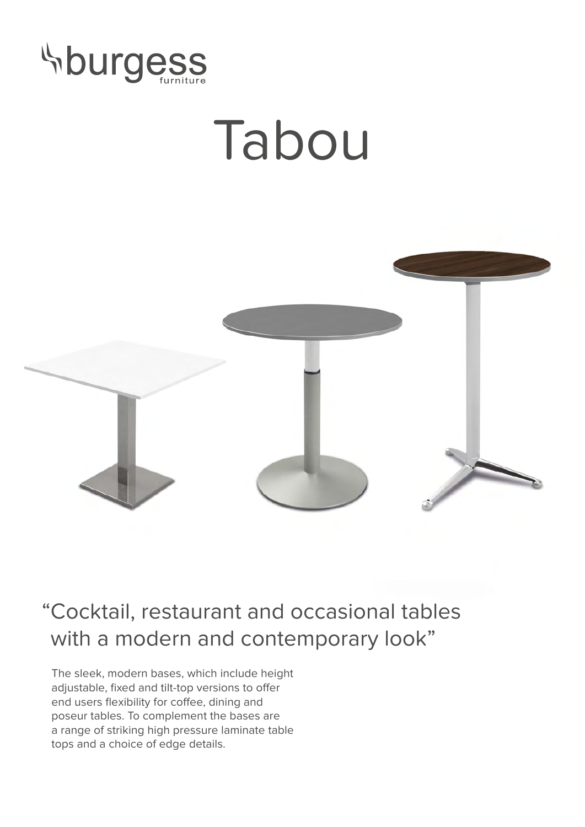

## Tabou



## "Cocktail, restaurant and occasional tables with a modern and contemporary look"

The sleek, modern bases, which include height adjustable, fixed and tilt-top versions to offer end users flexibility for coffee, dining and poseur tables. To complement the bases are a range of striking high pressure laminate table tops and a choice of edge details.